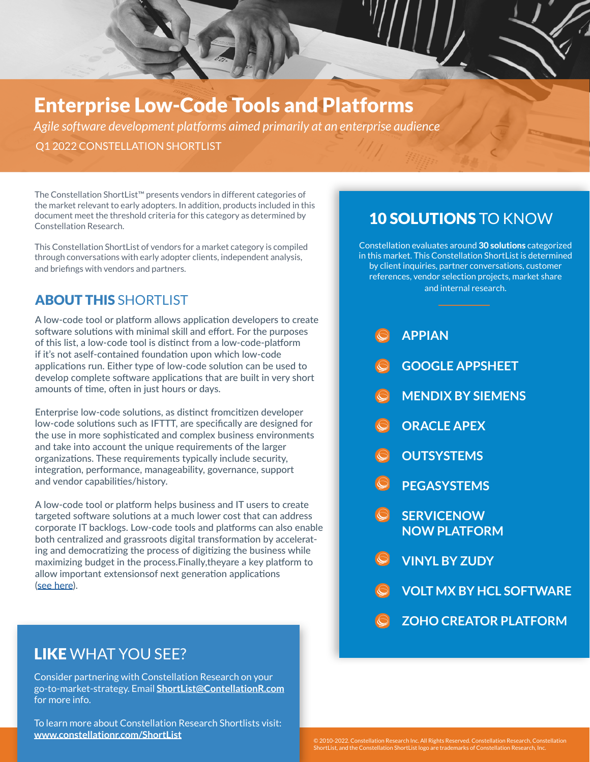# Enterprise Low-Code Tools and Platforms

*Agile software development platforms aimed primarily at an enterprise audience* Q1 2022 CONSTELLATION SHORTLIST

The Constellation ShortList™ presents vendors in different categories of the market relevant to early adopters. In addition, products included in this document meet the threshold criteria for this category as determined by Constellation Research.

This Constellation ShortList of vendors for a market category is compiled through conversations with early adopter clients, independent analysis, and briefings with vendors and partners.

### ABOUT THIS SHORTLIST

A low-code tool or platform allows application developers to create software solutions with minimal skill and effort. For the purposes of this list, a low-code tool is distinct from a low-code-platform if it's not aself-contained foundation upon which low-code applications run. Either type of low-code solution can be used to develop complete software applications that are built in very short amounts of time, often in just hours or days.

Enterprise low-code solutions, as distinct fromcitizen developer low-code solutions such as IFTTT, are specifically are designed for the use in more sophisticated and complex business environments and take into account the unique requirements of the larger organizations. These requirements typically include security, integration, performance, manageability, governance, support and vendor capabilities/history.

A low-code tool or platform helps business and IT users to create targeted software solutions at a much lower cost that can address corporate IT backlogs. Low-code tools and platforms can also enable both centralized and grassroots digital transformation by accelerating and democratizing the process of digitizing the business while maximizing budget in the process.Finally,theyare a key platform to allow important extensionsof next generation applications ([see here\)](https://www.constellationr.com/research/era-infinite-computing-triggers-next-generation-applications).

## LIKE WHAT YOU SEE?

Consider partnering with Constellation Research on your go-to-market-strategy. Email **[ShortList@ContellationR.com](mailto:ShortList@ContellationR.com)** for more info.

To learn more about Constellation Research Shortlists visit: **[www.constellationr.com/ShortList](http://www.constellationr.com/ShortList)**

# 10 SOLUTIONS TO KNOW

Constellation evaluates around **30 solutions** categorized in this market. This Constellation ShortList is determined by client inquiries, partner conversations, customer references, vendor selection projects, market share and internal research.

| <b>APPIAN</b> |  |
|---------------|--|
|               |  |
|               |  |
|               |  |

- **GOOGLE APPSHEET**
- **MENDIX BY SIEMENS**
- **ORACLE APEX**
- **OUTSYSTEMS**
- **PEGASYSTEMS**
- **SERVICENOW NOW PLATFORM**
- **VINYL BY ZUDY**
- **VOLT MX BY HCL SOFTWARE**
- **ZOHO CREATOR PLATFORM**

© 2010-2022. Constellation Research Inc. All Rights Reserved. Constellation Research, Constellation ShortList, and the Constellation ShortList logo are trademarks of Constellation Research, Inc.